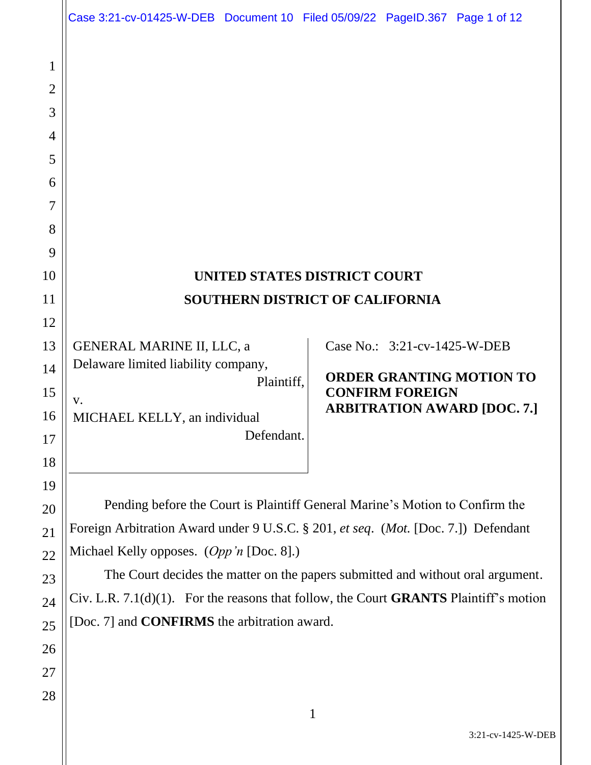|                     | Case 3:21-cv-01425-W-DEB Document 10 Filed 05/09/22 PageID.367 Page 1 of 12              |                                                              |  |
|---------------------|------------------------------------------------------------------------------------------|--------------------------------------------------------------|--|
|                     |                                                                                          |                                                              |  |
| 1<br>$\overline{2}$ |                                                                                          |                                                              |  |
| 3                   |                                                                                          |                                                              |  |
| 4                   |                                                                                          |                                                              |  |
| 5                   |                                                                                          |                                                              |  |
| 6                   |                                                                                          |                                                              |  |
| 7                   |                                                                                          |                                                              |  |
| 8                   |                                                                                          |                                                              |  |
| 9                   |                                                                                          |                                                              |  |
| 10                  | <b>UNITED STATES DISTRICT COURT</b>                                                      |                                                              |  |
| 11                  | <b>SOUTHERN DISTRICT OF CALIFORNIA</b>                                                   |                                                              |  |
| 12                  |                                                                                          |                                                              |  |
| 13                  | GENERAL MARINE II, LLC, a<br>Delaware limited liability company,                         | Case No.: 3:21-cv-1425-W-DEB                                 |  |
| 14                  | Plaintiff,                                                                               | <b>ORDER GRANTING MOTION TO</b>                              |  |
| 15                  | V.                                                                                       | <b>CONFIRM FOREIGN</b><br><b>ARBITRATION AWARD [DOC. 7.]</b> |  |
| 16<br>17            | MICHAEL KELLY, an individual<br>Defendant.                                               |                                                              |  |
| 18                  |                                                                                          |                                                              |  |
| 19                  |                                                                                          |                                                              |  |
| 20                  | Pending before the Court is Plaintiff General Marine's Motion to Confirm the             |                                                              |  |
| 21                  | Foreign Arbitration Award under 9 U.S.C. § 201, et seq. (Mot. [Doc. 7.]) Defendant       |                                                              |  |
| 22                  | Michael Kelly opposes. (Opp'n [Doc. 8].)                                                 |                                                              |  |
| 23                  | The Court decides the matter on the papers submitted and without oral argument.          |                                                              |  |
| 24                  | Civ. L.R. $7.1(d)(1)$ . For the reasons that follow, the Court GRANTS Plaintiff's motion |                                                              |  |
| 25                  | [Doc. 7] and <b>CONFIRMS</b> the arbitration award.                                      |                                                              |  |
| 26                  |                                                                                          |                                                              |  |
| 27                  |                                                                                          |                                                              |  |
| 28                  | $\mathbf{1}$                                                                             |                                                              |  |
|                     |                                                                                          |                                                              |  |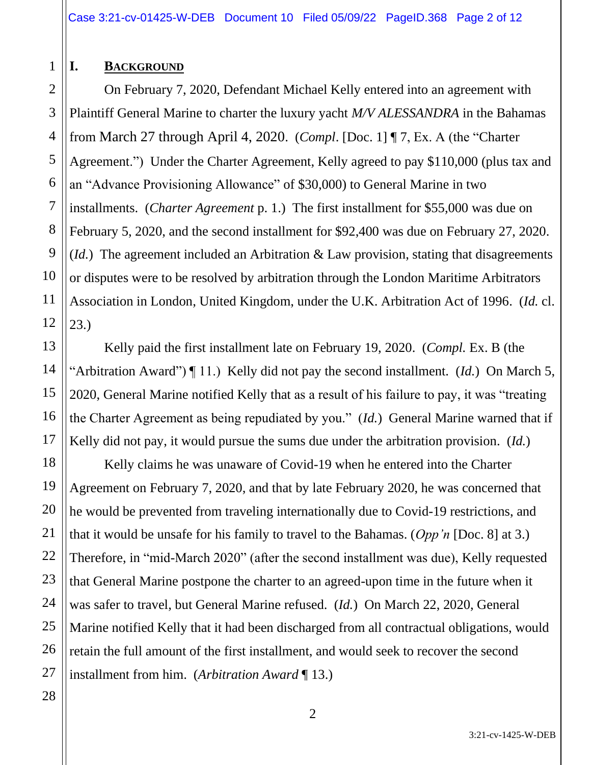## **I. BACKGROUND**

1

2

On February 7, 2020, Defendant Michael Kelly entered into an agreement with Plaintiff General Marine to charter the luxury yacht *M/V ALESSANDRA* in the Bahamas from March 27 through April 4, 2020. (*Compl*. [Doc. 1] ¶ 7, Ex. A (the "Charter Agreement.") Under the Charter Agreement, Kelly agreed to pay \$110,000 (plus tax and an "Advance Provisioning Allowance" of \$30,000) to General Marine in two installments. (*Charter Agreement* p. 1.) The first installment for \$55,000 was due on February 5, 2020, and the second installment for \$92,400 was due on February 27, 2020. (*Id.*) The agreement included an Arbitration & Law provision, stating that disagreements or disputes were to be resolved by arbitration through the London Maritime Arbitrators Association in London, United Kingdom, under the U.K. Arbitration Act of 1996. (*Id.* cl. 23.)

Kelly paid the first installment late on February 19, 2020. (*Compl.* Ex. B (the "Arbitration Award") ¶ 11.) Kelly did not pay the second installment. (*Id.*) On March 5, 2020, General Marine notified Kelly that as a result of his failure to pay, it was "treating the Charter Agreement as being repudiated by you." (*Id.*) General Marine warned that if Kelly did not pay, it would pursue the sums due under the arbitration provision. (*Id.*)

Kelly claims he was unaware of Covid-19 when he entered into the Charter Agreement on February 7, 2020, and that by late February 2020, he was concerned that he would be prevented from traveling internationally due to Covid-19 restrictions, and that it would be unsafe for his family to travel to the Bahamas. (*Opp'n* [Doc. 8] at 3.) Therefore, in "mid-March 2020" (after the second installment was due), Kelly requested that General Marine postpone the charter to an agreed-upon time in the future when it was safer to travel, but General Marine refused. (*Id.*) On March 22, 2020, General Marine notified Kelly that it had been discharged from all contractual obligations, would retain the full amount of the first installment, and would seek to recover the second installment from him. (*Arbitration Award* ¶ 13.)

3:21-cv-1425-W-DEB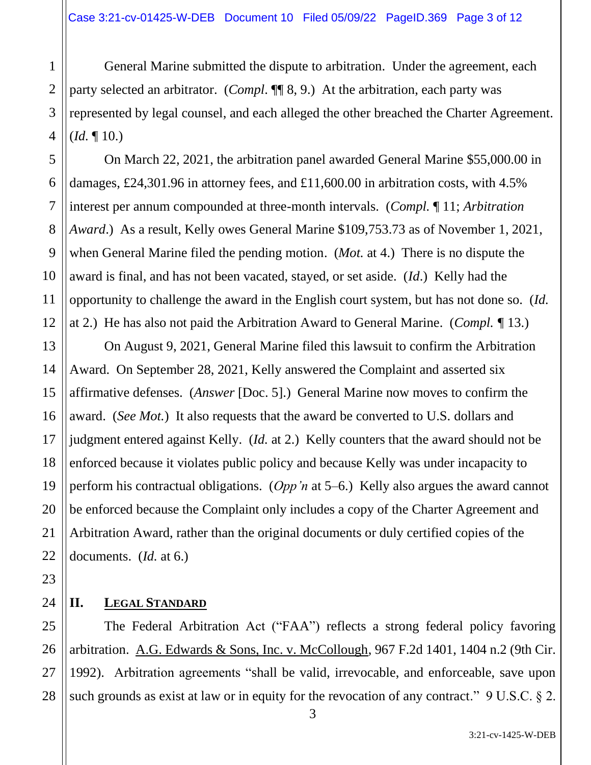General Marine submitted the dispute to arbitration. Under the agreement, each party selected an arbitrator. (*Compl*. ¶¶ 8, 9.) At the arbitration, each party was represented by legal counsel, and each alleged the other breached the Charter Agreement. (*Id.* ¶ 10.)

On March 22, 2021, the arbitration panel awarded General Marine \$55,000.00 in damages, £24,301.96 in attorney fees, and £11,600.00 in arbitration costs, with 4.5% interest per annum compounded at three-month intervals. (*Compl.* ¶ 11; *Arbitration Award*.) As a result, Kelly owes General Marine \$109,753.73 as of November 1, 2021, when General Marine filed the pending motion. (*Mot.* at 4.) There is no dispute the award is final, and has not been vacated, stayed, or set aside. (*Id*.) Kelly had the opportunity to challenge the award in the English court system, but has not done so. (*Id.* at 2.) He has also not paid the Arbitration Award to General Marine. (*Compl. ¶* 13.)

On August 9, 2021, General Marine filed this lawsuit to confirm the Arbitration Award. On September 28, 2021, Kelly answered the Complaint and asserted six affirmative defenses. (*Answer* [Doc. 5].) General Marine now moves to confirm the award. (*See Mot.*) It also requests that the award be converted to U.S. dollars and judgment entered against Kelly. (*Id.* at 2.) Kelly counters that the award should not be enforced because it violates public policy and because Kelly was under incapacity to perform his contractual obligations. (*Opp'n* at 5–6.) Kelly also argues the award cannot be enforced because the Complaint only includes a copy of the Charter Agreement and Arbitration Award, rather than the original documents or duly certified copies of the documents. (*Id.* at 6.)

# **II. LEGAL STANDARD**

The Federal Arbitration Act ("FAA") reflects a strong federal policy favoring arbitration. A.G. Edwards & Sons, Inc. v. McCollough, 967 F.2d 1401, 1404 n.2 (9th Cir. 1992). Arbitration agreements "shall be valid, irrevocable, and enforceable, save upon such grounds as exist at law or in equity for the revocation of any contract." 9 U.S.C. § 2.

1

2

3

4

5

6

7

8

9

10

11

12

13

14

15

16

17

18

19

20

21

22

23

24

25

26

27

28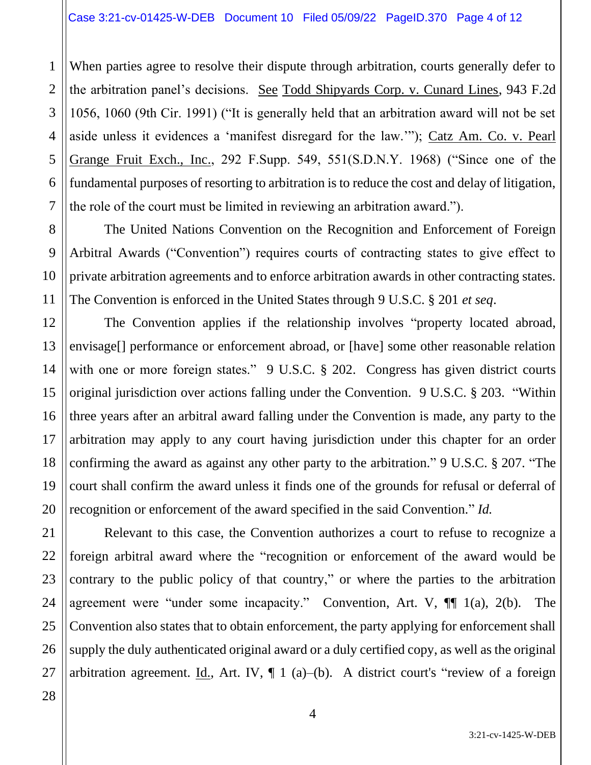When parties agree to resolve their dispute through arbitration, courts generally defer to the arbitration panel's decisions. See Todd Shipyards Corp. v. Cunard Lines, 943 F.2d 1056, 1060 (9th Cir. 1991) ("It is generally held that an arbitration award will not be set aside unless it evidences a 'manifest disregard for the law.'"); Catz Am. Co. v. Pearl Grange Fruit Exch., Inc., 292 F.Supp. 549, 551(S.D.N.Y. 1968) ("Since one of the fundamental purposes of resorting to arbitration is to reduce the cost and delay of litigation, the role of the court must be limited in reviewing an arbitration award.").

The United Nations Convention on the Recognition and Enforcement of Foreign Arbitral Awards ("Convention") requires courts of contracting states to give effect to private arbitration agreements and to enforce arbitration awards in other contracting states. The Convention is enforced in the United States through 9 U.S.C. § 201 *et seq*.

The Convention applies if the relationship involves "property located abroad, envisage[] performance or enforcement abroad, or [have] some other reasonable relation with one or more foreign states." 9 U.S.C. § 202. Congress has given district courts original jurisdiction over actions falling under the Convention. 9 U.S.C. § 203. "Within three years after an arbitral award falling under the Convention is made, any party to the arbitration may apply to any court having jurisdiction under this chapter for an order confirming the award as against any other party to the arbitration." 9 U.S.C. § 207. "The court shall confirm the award unless it finds one of the grounds for refusal or deferral of recognition or enforcement of the award specified in the said Convention." *Id.*

Relevant to this case, the Convention authorizes a court to refuse to recognize a foreign arbitral award where the "recognition or enforcement of the award would be contrary to the public policy of that country," or where the parties to the arbitration agreement were "under some incapacity." Convention, Art. V, ¶¶ 1(a), 2(b). The Convention also states that to obtain enforcement, the party applying for enforcement shall supply the duly authenticated original award or a duly certified copy, as well as the original arbitration agreement. Id., Art. IV,  $\P$  1 (a)–(b). A district court's "review of a foreign

1

2

3

4

5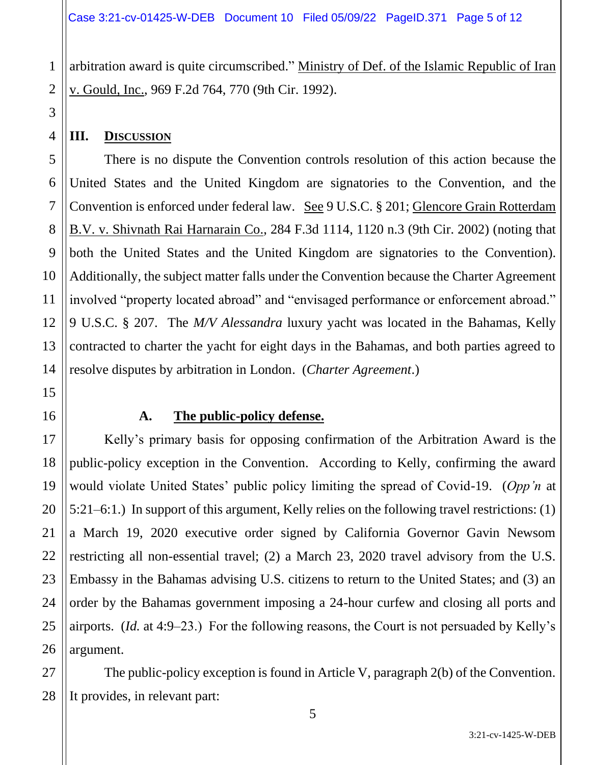arbitration award is quite circumscribed." Ministry of Def. of the Islamic Republic of Iran v. Gould, Inc., 969 F.2d 764, 770 (9th Cir. 1992).

### **III. DISCUSSION**

There is no dispute the Convention controls resolution of this action because the United States and the United Kingdom are signatories to the Convention, and the Convention is enforced under federal law. See 9 U.S.C. § 201; Glencore Grain Rotterdam B.V. v. Shivnath Rai Harnarain Co., 284 F.3d 1114, 1120 n.3 (9th Cir. 2002) (noting that both the United States and the United Kingdom are signatories to the Convention). Additionally, the subject matter falls under the Convention because the Charter Agreement involved "property located abroad" and "envisaged performance or enforcement abroad." 9 U.S.C. § 207. The *M/V Alessandra* luxury yacht was located in the Bahamas, Kelly contracted to charter the yacht for eight days in the Bahamas, and both parties agreed to resolve disputes by arbitration in London. (*Charter Agreement*.)

### **A. The public-policy defense.**

Kelly's primary basis for opposing confirmation of the Arbitration Award is the public-policy exception in the Convention. According to Kelly, confirming the award would violate United States' public policy limiting the spread of Covid-19. (*Opp'n* at 5:21–6:1.) In support of this argument, Kelly relies on the following travel restrictions: (1) a March 19, 2020 executive order signed by California Governor Gavin Newsom restricting all non-essential travel; (2) a March 23, 2020 travel advisory from the U.S. Embassy in the Bahamas advising U.S. citizens to return to the United States; and (3) an order by the Bahamas government imposing a 24-hour curfew and closing all ports and airports. (*Id.* at 4:9–23.) For the following reasons, the Court is not persuaded by Kelly's argument.

The public-policy exception is found in Article V, paragraph 2(b) of the Convention. It provides, in relevant part:

1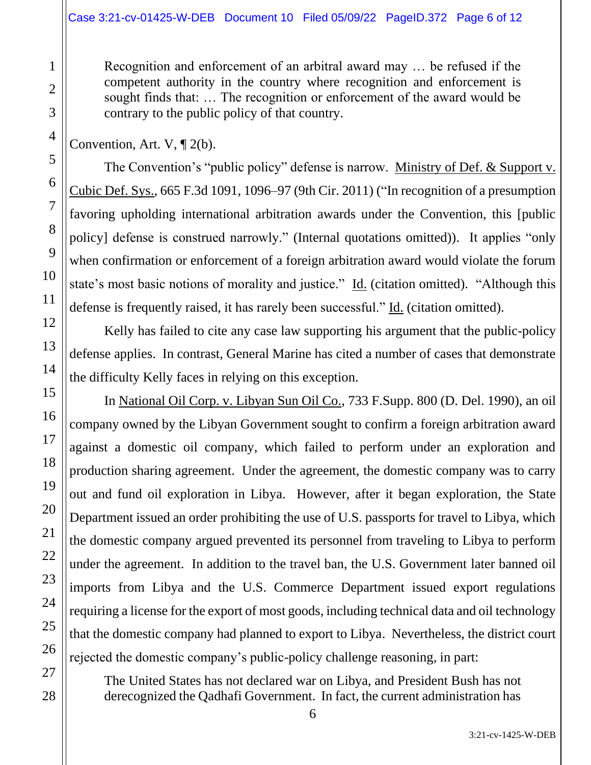#### Case 3:21-cv-01425-W-DEB Document 10 Filed 05/09/22 PageID.372 Page 6 of 12

Recognition and enforcement of an arbitral award may … be refused if the competent authority in the country where recognition and enforcement is sought finds that: … The recognition or enforcement of the award would be contrary to the public policy of that country.

Convention, Art. V, ¶ 2(b).

The Convention's "public policy" defense is narrow. Ministry of Def. & Support v. Cubic Def. Sys., 665 F.3d 1091, 1096–97 (9th Cir. 2011) ("In recognition of a presumption favoring upholding international arbitration awards under the Convention, this [public policy] defense is construed narrowly." (Internal quotations omitted)). It applies "only when confirmation or enforcement of a foreign arbitration award would violate the forum state's most basic notions of morality and justice." Id. (citation omitted). "Although this defense is frequently raised, it has rarely been successful." Id. (citation omitted).

Kelly has failed to cite any case law supporting his argument that the public-policy defense applies. In contrast, General Marine has cited a number of cases that demonstrate the difficulty Kelly faces in relying on this exception.

In National Oil Corp. v. Libyan Sun Oil Co., 733 F.Supp. 800 (D. Del. 1990), an oil company owned by the Libyan Government sought to confirm a foreign arbitration award against a domestic oil company, which failed to perform under an exploration and production sharing agreement. Under the agreement, the domestic company was to carry out and fund oil exploration in Libya. However, after it began exploration, the State Department issued an order prohibiting the use of U.S. passports for travel to Libya, which the domestic company argued prevented its personnel from traveling to Libya to perform under the agreement. In addition to the travel ban, the U.S. Government later banned oil imports from Libya and the U.S. Commerce Department issued export regulations requiring a license for the export of most goods, including technical data and oil technology that the domestic company had planned to export to Libya. Nevertheless, the district court rejected the domestic company's public-policy challenge reasoning, in part:

The United States has not declared war on Libya, and President Bush has not derecognized the Qadhafi Government. In fact, the current administration has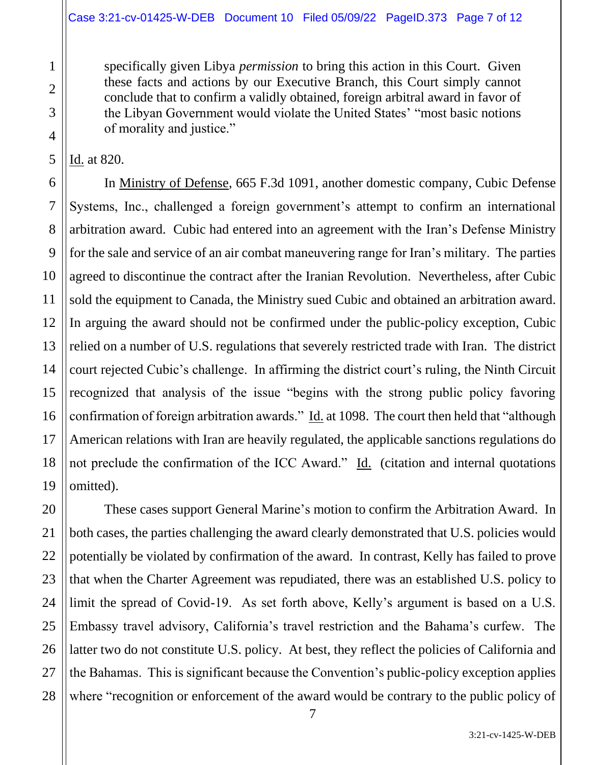specifically given Libya *permission* to bring this action in this Court. Given these facts and actions by our Executive Branch, this Court simply cannot conclude that to confirm a validly obtained, foreign arbitral award in favor of the Libyan Government would violate the United States' "most basic notions of morality and justice."

Id. at 820.

In Ministry of Defense, 665 F.3d 1091, another domestic company, Cubic Defense Systems, Inc., challenged a foreign government's attempt to confirm an international arbitration award. Cubic had entered into an agreement with the Iran's Defense Ministry for the sale and service of an air combat maneuvering range for Iran's military. The parties agreed to discontinue the contract after the Iranian Revolution. Nevertheless, after Cubic sold the equipment to Canada, the Ministry sued Cubic and obtained an arbitration award. In arguing the award should not be confirmed under the public-policy exception, Cubic relied on a number of U.S. regulations that severely restricted trade with Iran. The district court rejected Cubic's challenge. In affirming the district court's ruling, the Ninth Circuit recognized that analysis of the issue "begins with the strong public policy favoring confirmation of foreign arbitration awards." Id. at 1098. The court then held that "although American relations with Iran are heavily regulated, the applicable sanctions regulations do not preclude the confirmation of the ICC Award." Id. (citation and internal quotations omitted).

These cases support General Marine's motion to confirm the Arbitration Award. In both cases, the parties challenging the award clearly demonstrated that U.S. policies would potentially be violated by confirmation of the award. In contrast, Kelly has failed to prove that when the Charter Agreement was repudiated, there was an established U.S. policy to limit the spread of Covid-19. As set forth above, Kelly's argument is based on a U.S. Embassy travel advisory, California's travel restriction and the Bahama's curfew. The latter two do not constitute U.S. policy. At best, they reflect the policies of California and the Bahamas. This is significant because the Convention's public-policy exception applies where "recognition or enforcement of the award would be contrary to the public policy of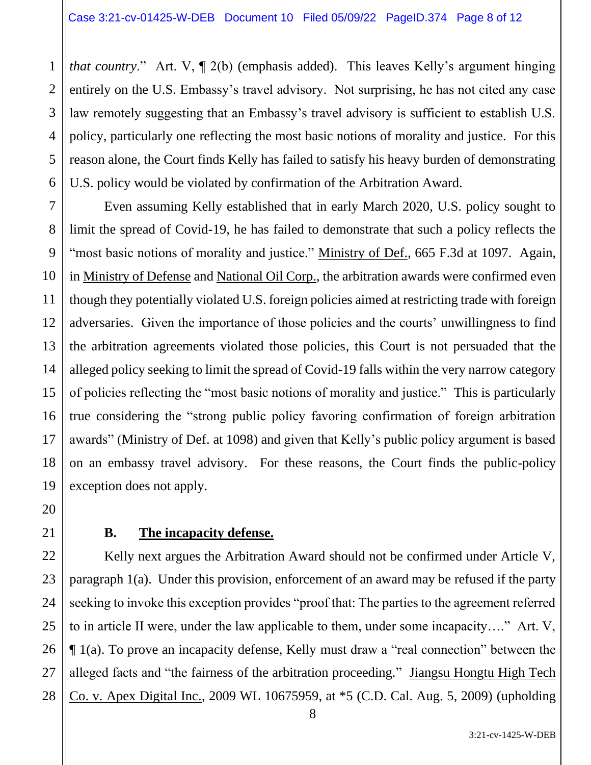*that country*." Art. V,  $\P$  2(b) (emphasis added). This leaves Kelly's argument hinging entirely on the U.S. Embassy's travel advisory. Not surprising, he has not cited any case law remotely suggesting that an Embassy's travel advisory is sufficient to establish U.S. policy, particularly one reflecting the most basic notions of morality and justice. For this reason alone, the Court finds Kelly has failed to satisfy his heavy burden of demonstrating U.S. policy would be violated by confirmation of the Arbitration Award.

Even assuming Kelly established that in early March 2020, U.S. policy sought to limit the spread of Covid-19, he has failed to demonstrate that such a policy reflects the "most basic notions of morality and justice." Ministry of Def., 665 F.3d at 1097. Again, in Ministry of Defense and National Oil Corp., the arbitration awards were confirmed even though they potentially violated U.S. foreign policies aimed at restricting trade with foreign adversaries. Given the importance of those policies and the courts' unwillingness to find the arbitration agreements violated those policies, this Court is not persuaded that the alleged policy seeking to limit the spread of Covid-19 falls within the very narrow category of policies reflecting the "most basic notions of morality and justice." This is particularly true considering the "strong public policy favoring confirmation of foreign arbitration awards" (Ministry of Def. at 1098) and given that Kelly's public policy argument is based on an embassy travel advisory. For these reasons, the Court finds the public-policy exception does not apply.

# **B. The incapacity defense.**

Kelly next argues the Arbitration Award should not be confirmed under Article V, paragraph 1(a). Under this provision, enforcement of an award may be refused if the party seeking to invoke this exception provides "proof that: The parties to the agreement referred to in article II were, under the law applicable to them, under some incapacity…." Art. V, ¶ 1(a). To prove an incapacity defense, Kelly must draw a "real connection" between the alleged facts and "the fairness of the arbitration proceeding." Jiangsu Hongtu High Tech Co. v. Apex Digital Inc., 2009 WL 10675959, at \*5 (C.D. Cal. Aug. 5, 2009) (upholding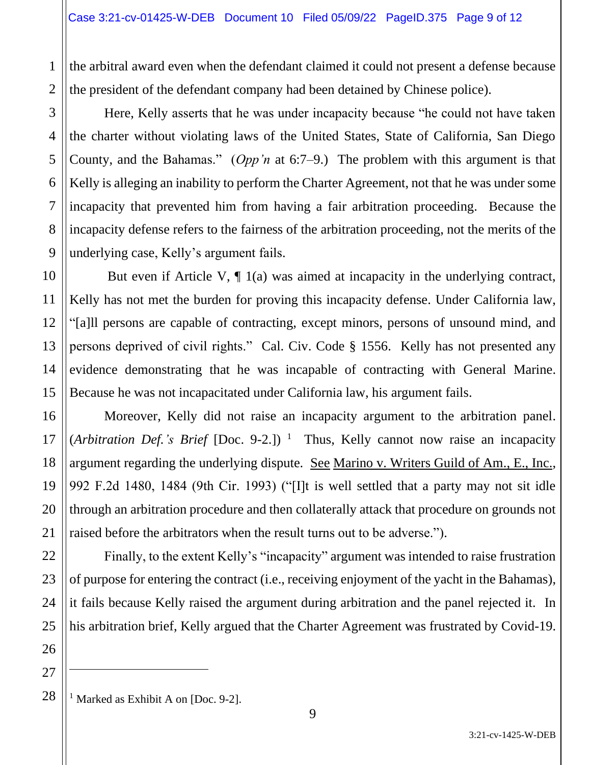the arbitral award even when the defendant claimed it could not present a defense because the president of the defendant company had been detained by Chinese police).

Here, Kelly asserts that he was under incapacity because "he could not have taken the charter without violating laws of the United States, State of California, San Diego County, and the Bahamas." (*Opp'n* at 6:7–9.) The problem with this argument is that Kelly is alleging an inability to perform the Charter Agreement, not that he was under some incapacity that prevented him from having a fair arbitration proceeding. Because the incapacity defense refers to the fairness of the arbitration proceeding, not the merits of the underlying case, Kelly's argument fails.

But even if Article V, ¶ 1(a) was aimed at incapacity in the underlying contract, Kelly has not met the burden for proving this incapacity defense. Under California law, "[a]ll persons are capable of contracting, except minors, persons of unsound mind, and persons deprived of civil rights." Cal. Civ. Code § 1556. Kelly has not presented any evidence demonstrating that he was incapable of contracting with General Marine. Because he was not incapacitated under California law, his argument fails.

Moreover, Kelly did not raise an incapacity argument to the arbitration panel. (*Arbitration Def.'s Brief* [Doc. 9-2.]) <sup>1</sup> Thus, Kelly cannot now raise an incapacity argument regarding the underlying dispute. See Marino v. Writers Guild of Am., E., Inc., 992 F.2d 1480, 1484 (9th Cir. 1993) ("[I]t is well settled that a party may not sit idle through an arbitration procedure and then collaterally attack that procedure on grounds not raised before the arbitrators when the result turns out to be adverse.").

Finally, to the extent Kelly's "incapacity" argument was intended to raise frustration of purpose for entering the contract (i.e., receiving enjoyment of the yacht in the Bahamas), it fails because Kelly raised the argument during arbitration and the panel rejected it. In his arbitration brief, Kelly argued that the Charter Agreement was frustrated by Covid-19.

27 28

1

2

3

4

5

6

7

8

9

10

11

12

13

14

15

16

17

18

19

20

21

22

23

24

25

<sup>&</sup>lt;sup>1</sup> Marked as Exhibit A on [Doc. 9-2].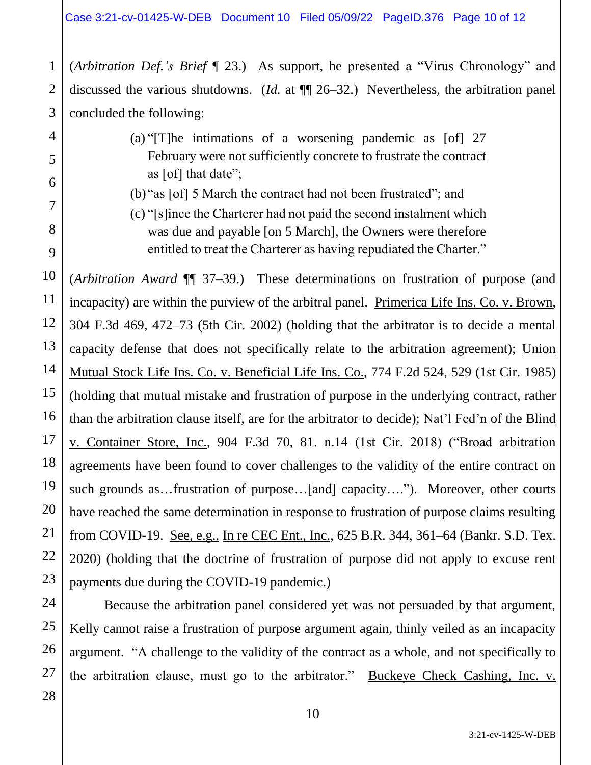(*Arbitration Def.'s Brief* ¶ 23.) As support, he presented a "Virus Chronology" and discussed the various shutdowns. (*Id.* at ¶¶ 26–32.) Nevertheless, the arbitration panel concluded the following:

- (a) "[T]he intimations of a worsening pandemic as [of] 27 February were not sufficiently concrete to frustrate the contract as [of] that date";
- (b) "as [of] 5 March the contract had not been frustrated"; and
- (c) "[s]ince the Charterer had not paid the second instalment which was due and payable [on 5 March], the Owners were therefore entitled to treat the Charterer as having repudiated the Charter."

(*Arbitration Award* ¶¶ 37–39.) These determinations on frustration of purpose (and incapacity) are within the purview of the arbitral panel. Primerica Life Ins. Co. v. Brown, 304 F.3d 469, 472–73 (5th Cir. 2002) (holding that the arbitrator is to decide a mental capacity defense that does not specifically relate to the arbitration agreement); Union Mutual Stock Life Ins. Co. v. Beneficial Life Ins. Co., 774 F.2d 524, 529 (1st Cir. 1985) (holding that mutual mistake and frustration of purpose in the underlying contract, rather than the arbitration clause itself, are for the arbitrator to decide); Nat'l Fed'n of the Blind v. Container Store, Inc., 904 F.3d 70, 81. n.14 (1st Cir. 2018) ("Broad arbitration agreements have been found to cover challenges to the validity of the entire contract on such grounds as…frustration of purpose…[and] capacity…."). Moreover, other courts have reached the same determination in response to frustration of purpose claims resulting from COVID-19. See, e.g., In re CEC Ent., Inc., 625 B.R. 344, 361–64 (Bankr. S.D. Tex. 2020) (holding that the doctrine of frustration of purpose did not apply to excuse rent payments due during the COVID-19 pandemic.)

Because the arbitration panel considered yet was not persuaded by that argument, Kelly cannot raise a frustration of purpose argument again, thinly veiled as an incapacity argument. "A challenge to the validity of the contract as a whole, and not specifically to the arbitration clause, must go to the arbitrator." Buckeye Check Cashing, Inc. v.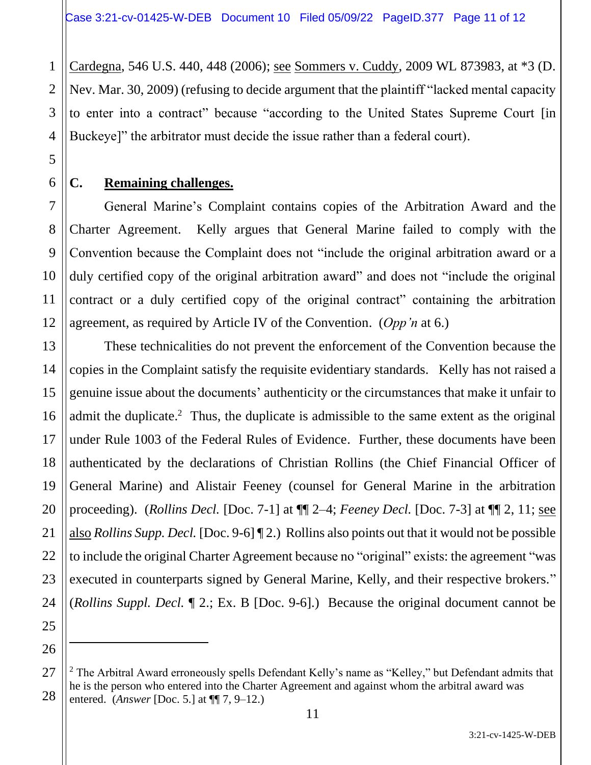Cardegna, 546 U.S. 440, 448 (2006); see Sommers v. Cuddy, 2009 WL 873983, at \*3 (D. Nev. Mar. 30, 2009) (refusing to decide argument that the plaintiff "lacked mental capacity to enter into a contract" because "according to the United States Supreme Court [in Buckeye]" the arbitrator must decide the issue rather than a federal court).

### **C. Remaining challenges.**

General Marine's Complaint contains copies of the Arbitration Award and the Charter Agreement. Kelly argues that General Marine failed to comply with the Convention because the Complaint does not "include the original arbitration award or a duly certified copy of the original arbitration award" and does not "include the original contract or a duly certified copy of the original contract" containing the arbitration agreement, as required by Article IV of the Convention. (*Opp'n* at 6.)

These technicalities do not prevent the enforcement of the Convention because the copies in the Complaint satisfy the requisite evidentiary standards. Kelly has not raised a genuine issue about the documents' authenticity or the circumstances that make it unfair to admit the duplicate.<sup>2</sup> Thus, the duplicate is admissible to the same extent as the original under Rule 1003 of the Federal Rules of Evidence. Further, these documents have been authenticated by the declarations of Christian Rollins (the Chief Financial Officer of General Marine) and Alistair Feeney (counsel for General Marine in the arbitration proceeding). (*Rollins Decl.* [Doc. 7-1] at ¶¶ 2–4; *Feeney Decl.* [Doc. 7-3] at ¶¶ 2, 11; see also *Rollins Supp. Decl.* [Doc. 9-6] ¶ 2.) Rollins also points out that it would not be possible to include the original Charter Agreement because no "original" exists: the agreement "was executed in counterparts signed by General Marine, Kelly, and their respective brokers." (*Rollins Suppl. Decl.* ¶ 2.; Ex. B [Doc. 9-6].) Because the original document cannot be

<sup>&</sup>lt;sup>2</sup> The Arbitral Award erroneously spells Defendant Kelly's name as "Kelley," but Defendant admits that he is the person who entered into the Charter Agreement and against whom the arbitral award was entered. (*Answer* [Doc. 5.] at ¶¶ 7, 9–12.)